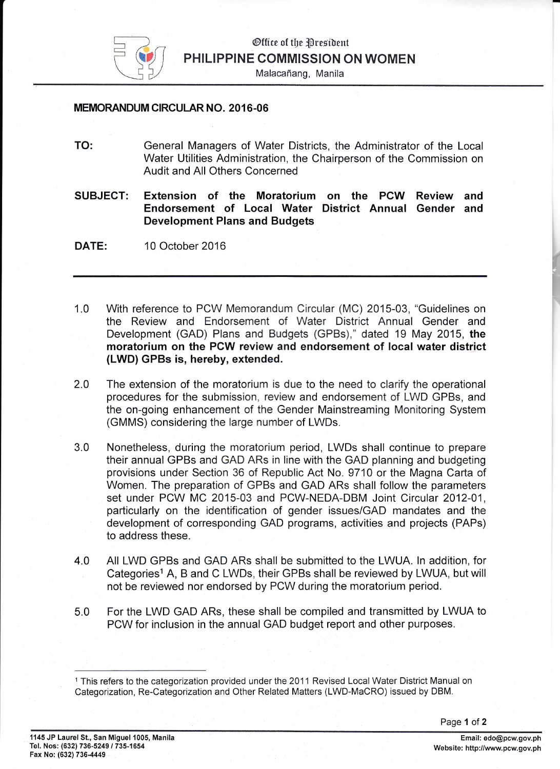

Malacafiang, Manila

## MEMORANDUM CIRCULAR NO. 2016.06

- TO: General Managers of Water Districts, the Administrator of the Local Water Utilities Administration, the Chairperson of the Commission on Audit and All Others Concerned
- SUBJECT: Extension of the Moratorium on the PCW Review and Endorsement of Local Water District Annual Gender and Development Plans and Budgets
- 10 October 2016 DATE:
- 1.0 With reference to PCW Memorandum Circular (MC) 2015-03, "Guidelines on the Review and Endorsement of Water District Annual Gender and Development (GAD) Plans and Budgets (GPBs)," dated 19 May 2015, the moratorium on the PCW review and endorsement of local water district (LWD) GPBs is, hereby, extended.
- The extension of the moratorium is due to the need to clarify the operational procedures for the submission, review and endorsement of LWD GPBs, and the on-going enhancement of the Gender Mainstreaming Monitoring System (GMMS) considering the large number of LWDs. 2.0
- Nonetheless, during the moratorium period, LWDs shall continue to prepare their annual GPBs and GAD ARs in line with the GAD planning and budgeting provisions under Section 36 of Republic Act No. 9710 or the Magna Carta of Women. The preparation of GPBs and GAD ARs shall follow the parameters set under PCW MC 2015-03 and PCW-NEDA-DBM Joint Circular 2012-01, particularly on the identification of gender issues/GAD mandates and the development of corresponding GAD programs, activities and projects (PAPs) to address these. 3.0
- All LWD GPBs and GAD ARs shall be submitted to the LWUA. ln addition, for Categories<sup>1</sup> A, B and C LWDs, their GPBs shall be reviewed by LWUA, but will not be reviewed nor endorsed by PCW during the moratorium period. 4.0
- For the LWD GAD ARs, these shall be compiled and transmitted by LWUA to PCW for inclusion in the annual GAD budget report and other purposes. 5.0

<sup>1</sup>This refers to the categorization provided under the 2011 Revised Local Water District Manual on Categorization, Re-Categorization and Other Related Matters (LWD-MaCRO) issued by DBM.